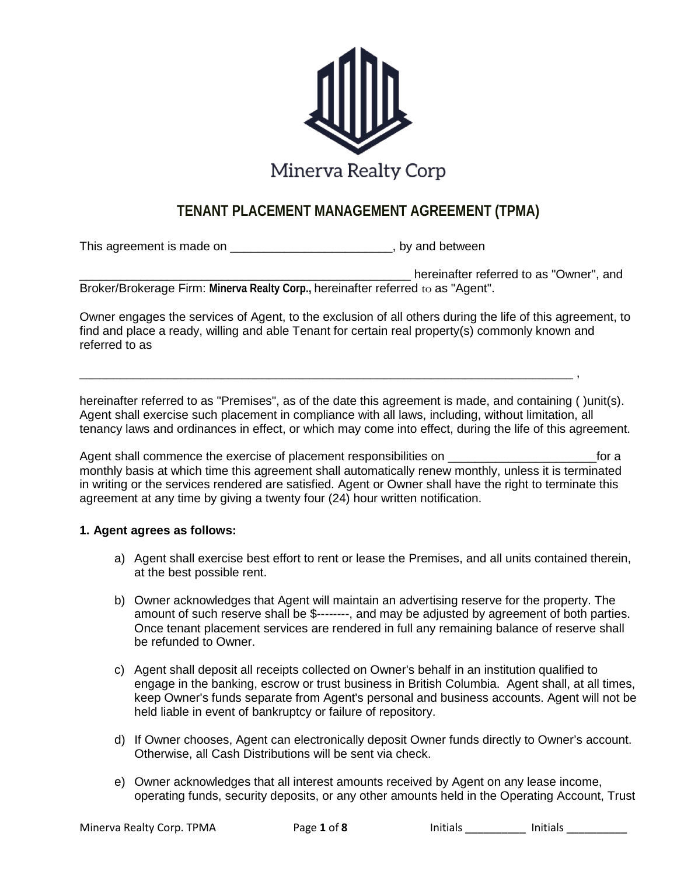

## **TENANT PLACEMENT MANAGEMENT AGREEMENT (TPMA)**

This agreement is made on \_\_\_\_\_\_\_\_\_\_\_\_\_\_\_\_\_\_\_\_\_\_\_\_\_\_, by and between

hereinafter referred to as "Owner", and Broker/Brokerage Firm: **Minerva Realty Corp.,** hereinafter referred to as "Agent".

Owner engages the services of Agent, to the exclusion of all others during the life of this agreement, to find and place a ready, willing and able Tenant for certain real property(s) commonly known and referred to as

hereinafter referred to as "Premises", as of the date this agreement is made, and containing () unit(s). Agent shall exercise such placement in compliance with all laws, including, without limitation, all tenancy laws and ordinances in effect, or which may come into effect, during the life of this agreement.

\_\_\_\_\_\_\_\_\_\_\_\_\_\_\_\_\_\_\_\_\_\_\_\_\_\_\_\_\_\_\_\_\_\_\_\_\_\_\_\_\_\_\_\_\_\_\_\_\_\_\_\_\_\_\_\_\_\_\_\_\_\_\_\_\_\_\_\_\_\_\_\_\_ ,

Agent shall commence the exercise of placement responsibilities on  $\Box$  and  $\Box$  for a monthly basis at which time this agreement shall automatically renew monthly, unless it is terminated in writing or the services rendered are satisfied. Agent or Owner shall have the right to terminate this agreement at any time by giving a twenty four (24) hour written notification.

#### **1. Agent agrees as follows:**

- a) Agent shall exercise best effort to rent or lease the Premises, and all units contained therein, at the best possible rent.
- b) Owner acknowledges that Agent will maintain an advertising reserve for the property. The amount of such reserve shall be \$--------, and may be adjusted by agreement of both parties. Once tenant placement services are rendered in full any remaining balance of reserve shall be refunded to Owner.
- c) Agent shall deposit all receipts collected on Owner's behalf in an institution qualified to engage in the banking, escrow or trust business in British Columbia. Agent shall, at all times, keep Owner's funds separate from Agent's personal and business accounts. Agent will not be held liable in event of bankruptcy or failure of repository.
- d) If Owner chooses, Agent can electronically deposit Owner funds directly to Owner's account. Otherwise, all Cash Distributions will be sent via check.
- e) Owner acknowledges that all interest amounts received by Agent on any lease income, operating funds, security deposits, or any other amounts held in the Operating Account, Trust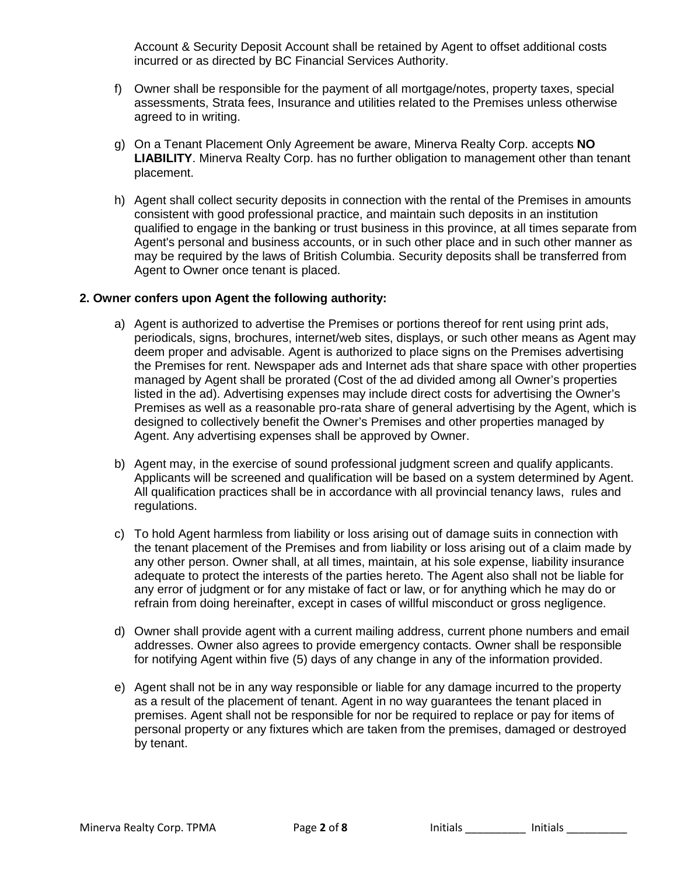Account & Security Deposit Account shall be retained by Agent to offset additional costs incurred or as directed by BC Financial Services Authority.

- f) Owner shall be responsible for the payment of all mortgage/notes, property taxes, special assessments, Strata fees, Insurance and utilities related to the Premises unless otherwise agreed to in writing.
- g) On a Tenant Placement Only Agreement be aware, Minerva Realty Corp. accepts **NO LIABILITY**. Minerva Realty Corp. has no further obligation to management other than tenant placement.
- h) Agent shall collect security deposits in connection with the rental of the Premises in amounts consistent with good professional practice, and maintain such deposits in an institution qualified to engage in the banking or trust business in this province, at all times separate from Agent's personal and business accounts, or in such other place and in such other manner as may be required by the laws of British Columbia. Security deposits shall be transferred from Agent to Owner once tenant is placed.

#### **2. Owner confers upon Agent the following authority:**

- a) Agent is authorized to advertise the Premises or portions thereof for rent using print ads, periodicals, signs, brochures, internet/web sites, displays, or such other means as Agent may deem proper and advisable. Agent is authorized to place signs on the Premises advertising the Premises for rent. Newspaper ads and Internet ads that share space with other properties managed by Agent shall be prorated (Cost of the ad divided among all Owner's properties listed in the ad). Advertising expenses may include direct costs for advertising the Owner's Premises as well as a reasonable pro-rata share of general advertising by the Agent, which is designed to collectively benefit the Owner's Premises and other properties managed by Agent. Any advertising expenses shall be approved by Owner.
- b) Agent may, in the exercise of sound professional judgment screen and qualify applicants. Applicants will be screened and qualification will be based on a system determined by Agent. All qualification practices shall be in accordance with all provincial tenancy laws, rules and regulations.
- c) To hold Agent harmless from liability or loss arising out of damage suits in connection with the tenant placement of the Premises and from liability or loss arising out of a claim made by any other person. Owner shall, at all times, maintain, at his sole expense, liability insurance adequate to protect the interests of the parties hereto. The Agent also shall not be liable for any error of judgment or for any mistake of fact or law, or for anything which he may do or refrain from doing hereinafter, except in cases of willful misconduct or gross negligence.
- d) Owner shall provide agent with a current mailing address, current phone numbers and email addresses. Owner also agrees to provide emergency contacts. Owner shall be responsible for notifying Agent within five (5) days of any change in any of the information provided.
- e) Agent shall not be in any way responsible or liable for any damage incurred to the property as a result of the placement of tenant. Agent in no way guarantees the tenant placed in premises. Agent shall not be responsible for nor be required to replace or pay for items of personal property or any fixtures which are taken from the premises, damaged or destroyed by tenant.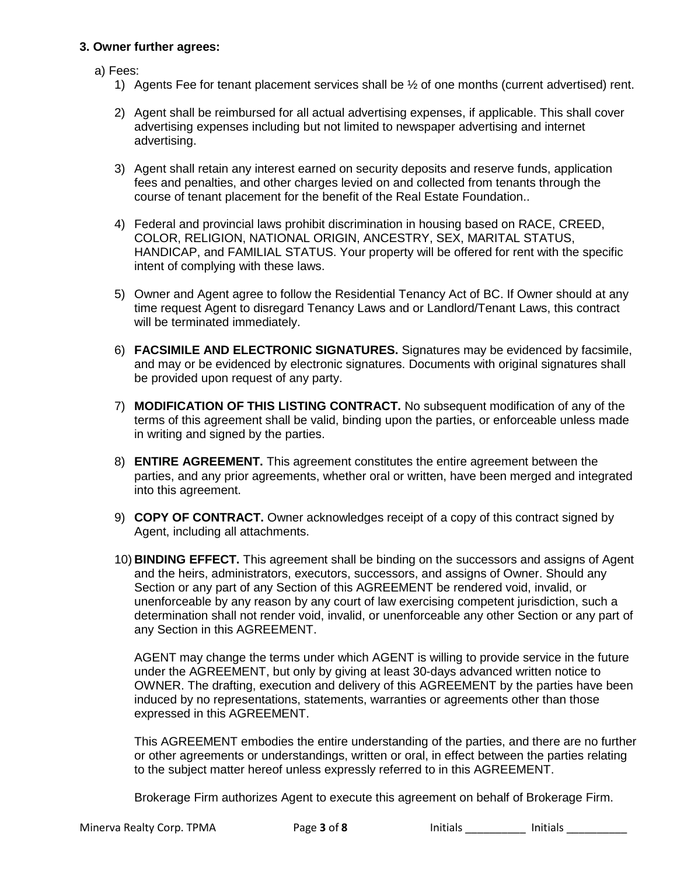#### **3. Owner further agrees:**

a) Fees:

- 1) Agents Fee for tenant placement services shall be ½ of one months (current advertised) rent.
- 2) Agent shall be reimbursed for all actual advertising expenses, if applicable. This shall cover advertising expenses including but not limited to newspaper advertising and internet advertising.
- 3) Agent shall retain any interest earned on security deposits and reserve funds, application fees and penalties, and other charges levied on and collected from tenants through the course of tenant placement for the benefit of the Real Estate Foundation..
- 4) Federal and provincial laws prohibit discrimination in housing based on RACE, CREED, COLOR, RELIGION, NATIONAL ORIGIN, ANCESTRY, SEX, MARITAL STATUS, HANDICAP, and FAMILIAL STATUS. Your property will be offered for rent with the specific intent of complying with these laws.
- 5) Owner and Agent agree to follow the Residential Tenancy Act of BC. If Owner should at any time request Agent to disregard Tenancy Laws and or Landlord/Tenant Laws, this contract will be terminated immediately.
- 6) **FACSIMILE AND ELECTRONIC SIGNATURES.** Signatures may be evidenced by facsimile, and may or be evidenced by electronic signatures. Documents with original signatures shall be provided upon request of any party.
- 7) **MODIFICATION OF THIS LISTING CONTRACT.** No subsequent modification of any of the terms of this agreement shall be valid, binding upon the parties, or enforceable unless made in writing and signed by the parties.
- 8) **ENTIRE AGREEMENT.** This agreement constitutes the entire agreement between the parties, and any prior agreements, whether oral or written, have been merged and integrated into this agreement.
- 9) **COPY OF CONTRACT.** Owner acknowledges receipt of a copy of this contract signed by Agent, including all attachments.
- 10) **BINDING EFFECT.** This agreement shall be binding on the successors and assigns of Agent and the heirs, administrators, executors, successors, and assigns of Owner. Should any Section or any part of any Section of this AGREEMENT be rendered void, invalid, or unenforceable by any reason by any court of law exercising competent jurisdiction, such a determination shall not render void, invalid, or unenforceable any other Section or any part of any Section in this AGREEMENT.

AGENT may change the terms under which AGENT is willing to provide service in the future under the AGREEMENT, but only by giving at least 30-days advanced written notice to OWNER. The drafting, execution and delivery of this AGREEMENT by the parties have been induced by no representations, statements, warranties or agreements other than those expressed in this AGREEMENT.

This AGREEMENT embodies the entire understanding of the parties, and there are no further or other agreements or understandings, written or oral, in effect between the parties relating to the subject matter hereof unless expressly referred to in this AGREEMENT.

Brokerage Firm authorizes Agent to execute this agreement on behalf of Brokerage Firm.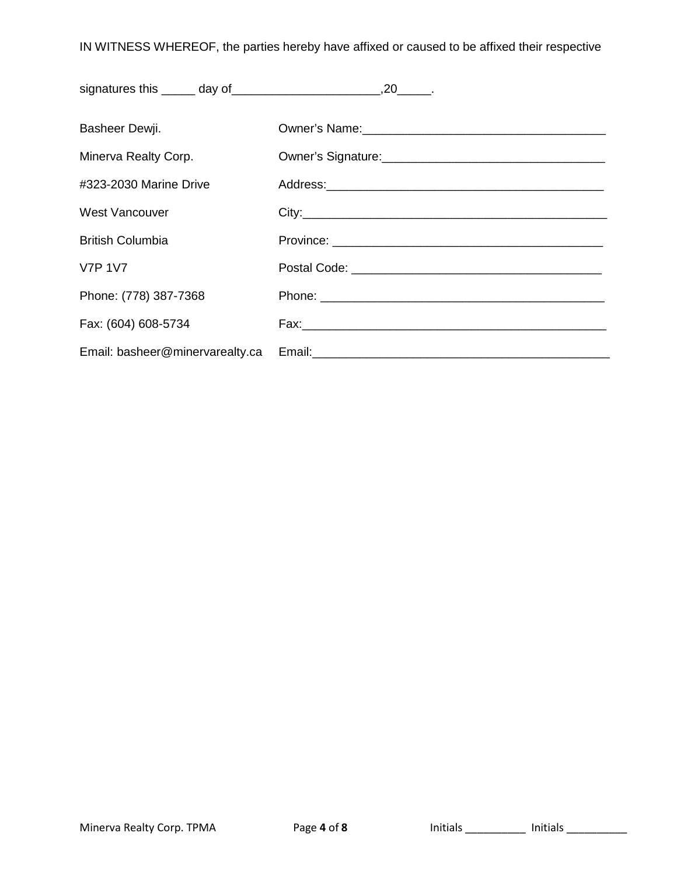IN WITNESS WHEREOF, the parties hereby have affixed or caused to be affixed their respective

| Basheer Dewji.                  |  |
|---------------------------------|--|
| Minerva Realty Corp.            |  |
| #323-2030 Marine Drive          |  |
| <b>West Vancouver</b>           |  |
| <b>British Columbia</b>         |  |
| <b>V7P 1V7</b>                  |  |
| Phone: (778) 387-7368           |  |
| Fax: (604) 608-5734             |  |
| Email: basheer@minervarealty.ca |  |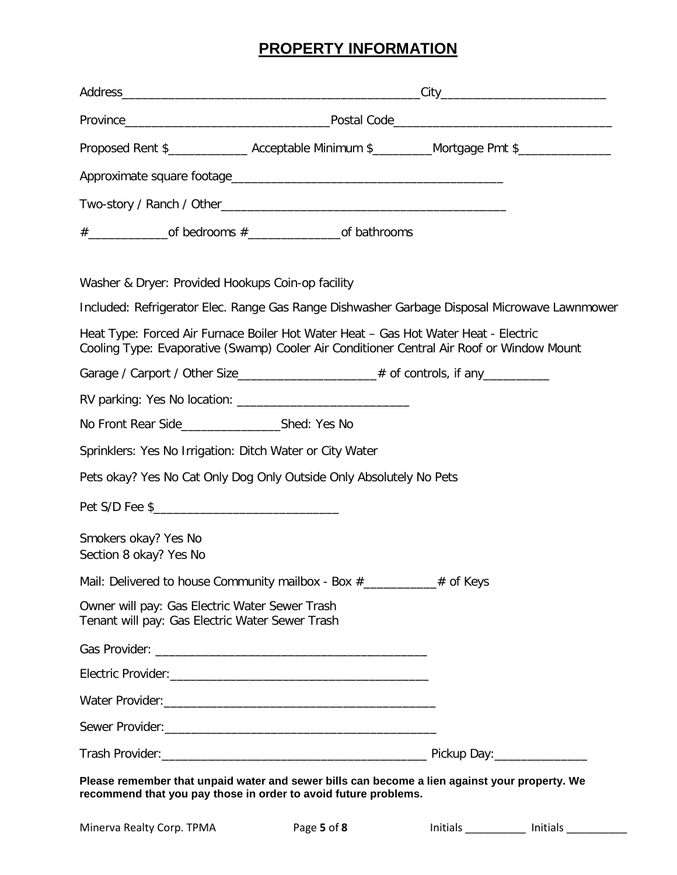# **PROPERTY INFORMATION**

|                                                                                                   |                                                                                                                                                                                  | Proposed Rent \$_________________ Acceptable Minimum \$__________Mortgage Pmt \$________________ |
|---------------------------------------------------------------------------------------------------|----------------------------------------------------------------------------------------------------------------------------------------------------------------------------------|--------------------------------------------------------------------------------------------------|
|                                                                                                   |                                                                                                                                                                                  |                                                                                                  |
|                                                                                                   |                                                                                                                                                                                  |                                                                                                  |
|                                                                                                   |                                                                                                                                                                                  |                                                                                                  |
| Washer & Dryer: Provided Hookups Coin-op facility                                                 |                                                                                                                                                                                  |                                                                                                  |
|                                                                                                   |                                                                                                                                                                                  | Included: Refrigerator Elec. Range Gas Range Dishwasher Garbage Disposal Microwave Lawnmower     |
|                                                                                                   | Heat Type: Forced Air Furnace Boiler Hot Water Heat - Gas Hot Water Heat - Electric<br>Cooling Type: Evaporative (Swamp) Cooler Air Conditioner Central Air Roof or Window Mount |                                                                                                  |
|                                                                                                   | Garage / Carport / Other Size_____________________# of controls, if any_________                                                                                                 |                                                                                                  |
|                                                                                                   |                                                                                                                                                                                  |                                                                                                  |
|                                                                                                   |                                                                                                                                                                                  |                                                                                                  |
|                                                                                                   | Sprinklers: Yes No Irrigation: Ditch Water or City Water                                                                                                                         |                                                                                                  |
|                                                                                                   | Pets okay? Yes No Cat Only Dog Only Outside Only Absolutely No Pets                                                                                                              |                                                                                                  |
|                                                                                                   |                                                                                                                                                                                  |                                                                                                  |
| Smokers okay? Yes No<br>Section 8 okay? Yes No                                                    |                                                                                                                                                                                  |                                                                                                  |
|                                                                                                   | Mail: Delivered to house Community mailbox - Box #____________ # of Keys                                                                                                         |                                                                                                  |
| Owner will pay: Gas Electric Water Sewer Trash<br>Tenant will pay: Gas Electric Water Sewer Trash |                                                                                                                                                                                  |                                                                                                  |
|                                                                                                   |                                                                                                                                                                                  |                                                                                                  |
|                                                                                                   |                                                                                                                                                                                  |                                                                                                  |
|                                                                                                   |                                                                                                                                                                                  |                                                                                                  |
|                                                                                                   |                                                                                                                                                                                  |                                                                                                  |
|                                                                                                   |                                                                                                                                                                                  |                                                                                                  |
|                                                                                                   | Please remember that unpaid water and sewer bills can become a lien against your property. We<br>recommend that you pay those in order to avoid future problems.                 |                                                                                                  |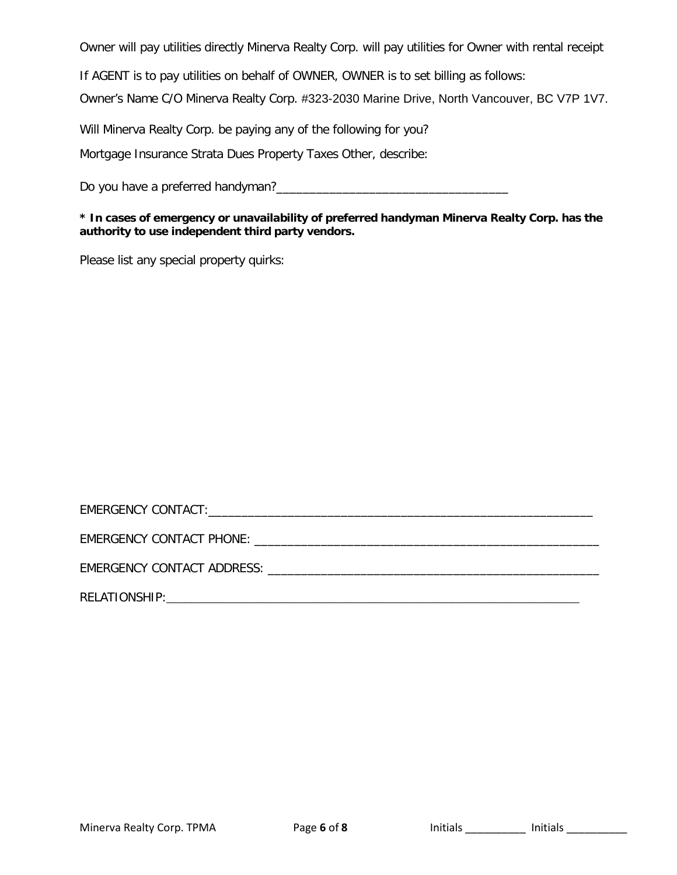Owner will pay utilities directly Minerva Realty Corp. will pay utilities for Owner with rental receipt

If AGENT is to pay utilities on behalf of OWNER, OWNER is to set billing as follows:

Owner's Name C/O Minerva Realty Corp. #323-2030 Marine Drive, North Vancouver, BC V7P 1V7.

Will Minerva Realty Corp. be paying any of the following for you?

Mortgage Insurance Strata Dues Property Taxes Other, describe:

Do you have a preferred handyman?\_\_\_\_\_\_\_\_\_\_\_\_\_\_\_\_\_\_\_\_\_\_\_\_\_\_\_\_\_\_\_\_\_\_\_

#### **\* In cases of emergency or unavailability of preferred handyman Minerva Realty Corp. has the authority to use independent third party vendors.**

Please list any special property quirks:

| EMERGENCY CONTACT ADDRESS: NAMEL AND THE SERVICE OF STREET AND THE SERVICE OF STREET AND THE SERVICE OF STREET |
|----------------------------------------------------------------------------------------------------------------|
| RELATIONSHIP: A SALE AND THE STATE OF THE STATE OF THE STATE OF THE STATE OF THE STATE OF THE STATE OF THE STA |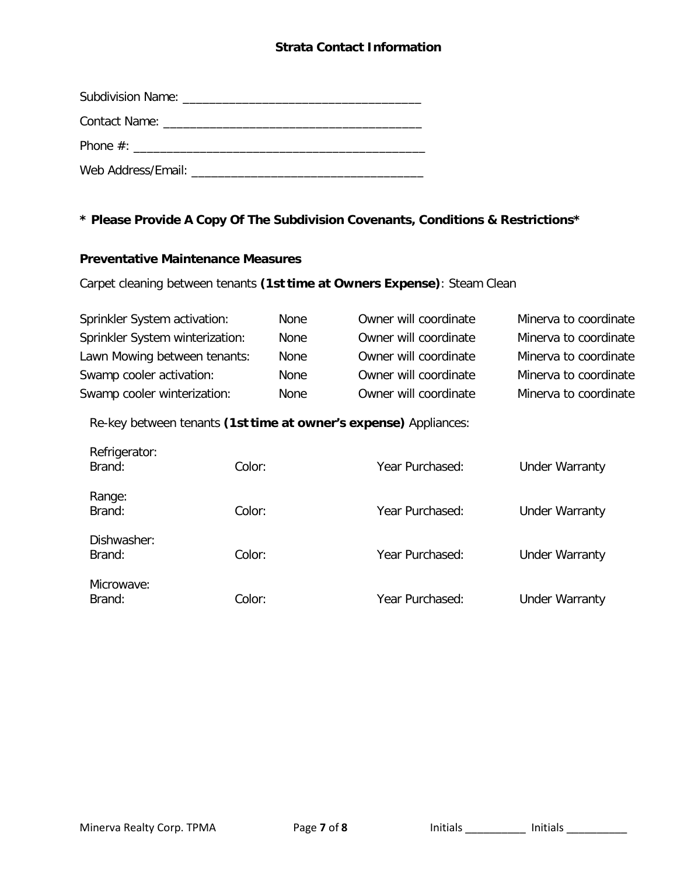## **Strata Contact Information**

| Contact Name: Name: Name and South Assembly Contact Name: Name and South Assembly Contact Inc. |
|------------------------------------------------------------------------------------------------|
| Phone $\#$ :                                                                                   |
| Web Address/Email: Web Address/Email:                                                          |

## **\* Please Provide A Copy Of The Subdivision Covenants, Conditions & Restrictions\***

#### **Preventative Maintenance Measures**

Carpet cleaning between tenants **(1st time at Owners Expense)**: Steam Clean

| Sprinkler System activation:    | None        | Owner will coordinate | Minerva to coordinate |
|---------------------------------|-------------|-----------------------|-----------------------|
| Sprinkler System winterization: | <b>None</b> | Owner will coordinate | Minerva to coordinate |
| Lawn Mowing between tenants:    | <b>None</b> | Owner will coordinate | Minerva to coordinate |
| Swamp cooler activation:        | <b>None</b> | Owner will coordinate | Minerva to coordinate |
| Swamp cooler winterization:     | <b>None</b> | Owner will coordinate | Minerva to coordinate |

Re-key between tenants **(1st time at owner's expense)** Appliances:

| Refrigerator:<br>Brand: | Color: | Year Purchased: | <b>Under Warranty</b> |
|-------------------------|--------|-----------------|-----------------------|
| Range:<br>Brand:        | Color: | Year Purchased: | <b>Under Warranty</b> |
| Dishwasher:<br>Brand:   | Color: | Year Purchased: | <b>Under Warranty</b> |
| Microwave:<br>Brand:    | Color: | Year Purchased: | <b>Under Warranty</b> |